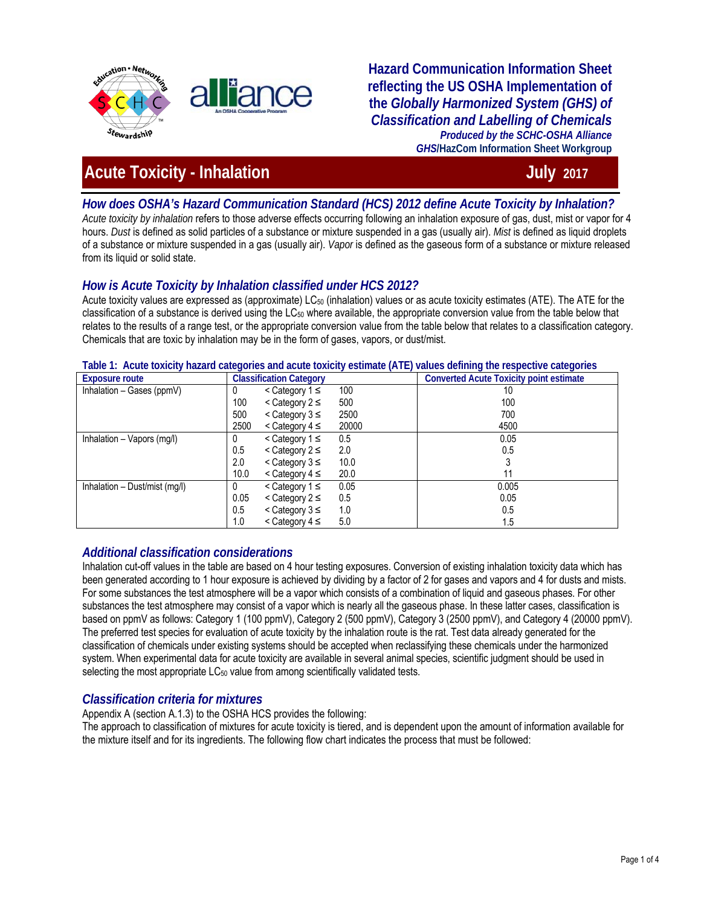

**Hazard Communication Information Sheet reflecting the US OSHA Implementation of the** *Globally Harmonized System (GHS) of Classification and Labelling of Chemicals Produced by the SCHC-OSHA Alliance GHS***/HazCom Information Sheet Workgroup**

# *Acute Toxicity - Inhalation* **July 2017**

# *How does OSHA's Hazard Communication Standard (HCS) 2012 define Acute Toxicity by Inhalation?*

*Acute toxicity by inhalation* refers to those adverse effects occurring following an inhalation exposure of gas, dust, mist or vapor for 4 hours. *Dust* is defined as solid particles of a substance or mixture suspended in a gas (usually air). *Mist* is defined as liquid droplets of a substance or mixture suspended in a gas (usually air). *Vapor* is defined as the gaseous form of a substance or mixture released from its liquid or solid state.

# *How is Acute Toxicity by Inhalation classified under HCS 2012?*

Acute toxicity values are expressed as (approximate) LC<sub>50</sub> (inhalation) values or as acute toxicity estimates (ATE). The ATE for the classification of a substance is derived using the LC50 where available, the appropriate conversion value from the table below that relates to the results of a range test, or the appropriate conversion value from the table below that relates to a classification category. Chemicals that are toxic by inhalation may be in the form of gases, vapors, or dust/mist.

| rable 1. Acute toxicity hazard categories and acute toxicity estimate (ATL) values defining the respective categories |      |                                |       |                                                |  |  |
|-----------------------------------------------------------------------------------------------------------------------|------|--------------------------------|-------|------------------------------------------------|--|--|
| Exposure route                                                                                                        |      | <b>Classification Category</b> |       | <b>Converted Acute Toxicity point estimate</b> |  |  |
| Inhalation - Gases (ppmV)                                                                                             |      | $<$ Category 1 $\leq$          | 100   | 10                                             |  |  |
|                                                                                                                       | 100  | $\leq$ Category 2 $\leq$       | 500   | 100                                            |  |  |
|                                                                                                                       | 500  | $\leq$ Category 3 $\leq$       | 2500  | 700                                            |  |  |
|                                                                                                                       | 2500 | $\leq$ Category 4 $\leq$       | 20000 | 4500                                           |  |  |
| Inhalation - Vapors (mg/l)                                                                                            |      | $\leq$ Category 1 $\leq$       | 0.5   | 0.05                                           |  |  |
|                                                                                                                       | 0.5  | $<$ Category 2 $\leq$          | 2.0   | 0.5                                            |  |  |
|                                                                                                                       | 2.0  | $\leq$ Category 3 $\leq$       | 10.0  |                                                |  |  |
|                                                                                                                       | 10.0 | $\leq$ Category 4 $\leq$       | 20.0  |                                                |  |  |
| Inhalation - Dust/mist (mg/l)                                                                                         |      | $<$ Category 1 $\leq$          | 0.05  | 0.005                                          |  |  |
|                                                                                                                       | 0.05 | $\leq$ Category 2 $\leq$       | 0.5   | 0.05                                           |  |  |
|                                                                                                                       | 0.5  | < Category $3 ≤$               | 1.0   | 0.5                                            |  |  |
|                                                                                                                       | 1.0  | $<$ Category 4 $\leq$          | 5.0   | 1.5                                            |  |  |

#### **Table 1: Acute toxicity hazard categories and acute toxicity estimate (ATE) values defining the respective categories**

# *Additional classification considerations*

Inhalation cut-off values in the table are based on 4 hour testing exposures. Conversion of existing inhalation toxicity data which has been generated according to 1 hour exposure is achieved by dividing by a factor of 2 for gases and vapors and 4 for dusts and mists. For some substances the test atmosphere will be a vapor which consists of a combination of liquid and gaseous phases. For other substances the test atmosphere may consist of a vapor which is nearly all the gaseous phase. In these latter cases, classification is based on ppmV as follows: Category 1 (100 ppmV), Category 2 (500 ppmV), Category 3 (2500 ppmV), and Category 4 (20000 ppmV). The preferred test species for evaluation of acute toxicity by the inhalation route is the rat. Test data already generated for the classification of chemicals under existing systems should be accepted when reclassifying these chemicals under the harmonized system. When experimental data for acute toxicity are available in several animal species, scientific judgment should be used in selecting the most appropriate LC<sub>50</sub> value from among scientifically validated tests.

# *Classification criteria for mixtures*

Appendix A (section A.1.3) to the OSHA HCS provides the following:

The approach to classification of mixtures for acute toxicity is tiered, and is dependent upon the amount of information available for the mixture itself and for its ingredients. The following flow chart indicates the process that must be followed: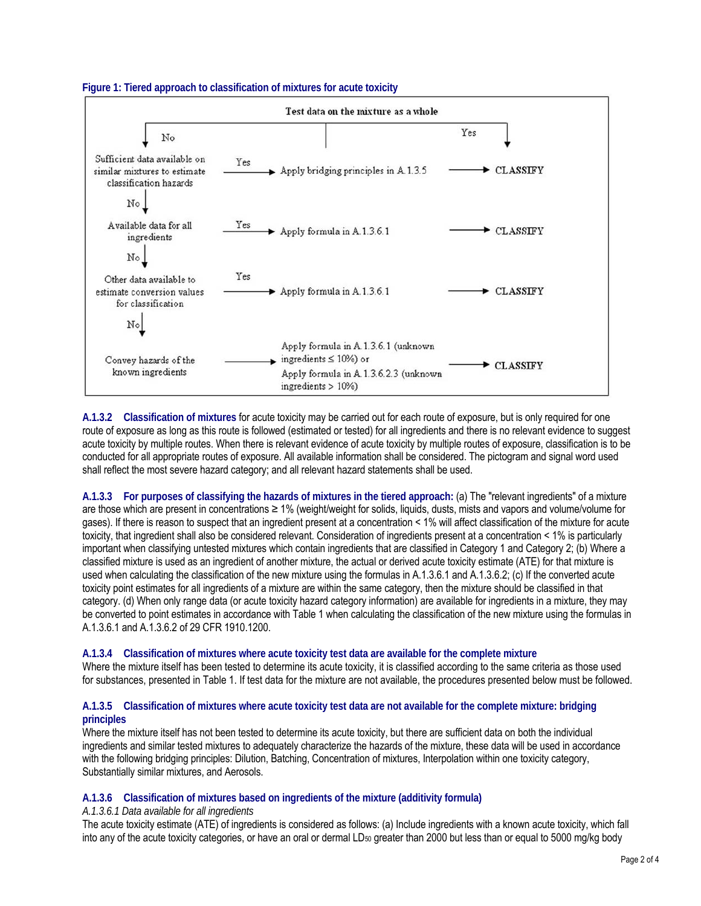



**A.1.3.2 Classification of mixtures** for acute toxicity may be carried out for each route of exposure, but is only required for one route of exposure as long as this route is followed (estimated or tested) for all ingredients and there is no relevant evidence to suggest acute toxicity by multiple routes. When there is relevant evidence of acute toxicity by multiple routes of exposure, classification is to be conducted for all appropriate routes of exposure. All available information shall be considered. The pictogram and signal word used shall reflect the most severe hazard category; and all relevant hazard statements shall be used.

**A.1.3.3 For purposes of classifying the hazards of mixtures in the tiered approach:** (a) The "relevant ingredients" of a mixture are those which are present in concentrations ≥ 1% (weight/weight for solids, liquids, dusts, mists and vapors and volume/volume for gases). If there is reason to suspect that an ingredient present at a concentration < 1% will affect classification of the mixture for acute toxicity, that ingredient shall also be considered relevant. Consideration of ingredients present at a concentration < 1% is particularly important when classifying untested mixtures which contain ingredients that are classified in Category 1 and Category 2; (b) Where a classified mixture is used as an ingredient of another mixture, the actual or derived acute toxicity estimate (ATE) for that mixture is used when calculating the classification of the new mixture using the formulas in A.1.3.6.1 and A.1.3.6.2; (c) If the converted acute toxicity point estimates for all ingredients of a mixture are within the same category, then the mixture should be classified in that category. (d) When only range data (or acute toxicity hazard category information) are available for ingredients in a mixture, they may be converted to point estimates in accordance with Table 1 when calculating the classification of the new mixture using the formulas in A.1.3.6.1 and A.1.3.6.2 of 29 CFR 1910.1200.

# **A.1.3.4 Classification of mixtures where acute toxicity test data are available for the complete mixture**

Where the mixture itself has been tested to determine its acute toxicity, it is classified according to the same criteria as those used for substances, presented in Table 1. If test data for the mixture are not available, the procedures presented below must be followed.

### **A.1.3.5 Classification of mixtures where acute toxicity test data are not available for the complete mixture: bridging principles**

Where the mixture itself has not been tested to determine its acute toxicity, but there are sufficient data on both the individual ingredients and similar tested mixtures to adequately characterize the hazards of the mixture, these data will be used in accordance with the following bridging principles: Dilution, Batching, Concentration of mixtures, Interpolation within one toxicity category, Substantially similar mixtures, and Aerosols.

### **A.1.3.6 Classification of mixtures based on ingredients of the mixture (additivity formula)**

### *A.1.3.6.1 Data available for all ingredients*

The acute toxicity estimate (ATE) of ingredients is considered as follows: (a) Include ingredients with a known acute toxicity, which fall into any of the acute toxicity categories, or have an oral or dermal LD<sub>50</sub> greater than 2000 but less than or equal to 5000 mg/kg body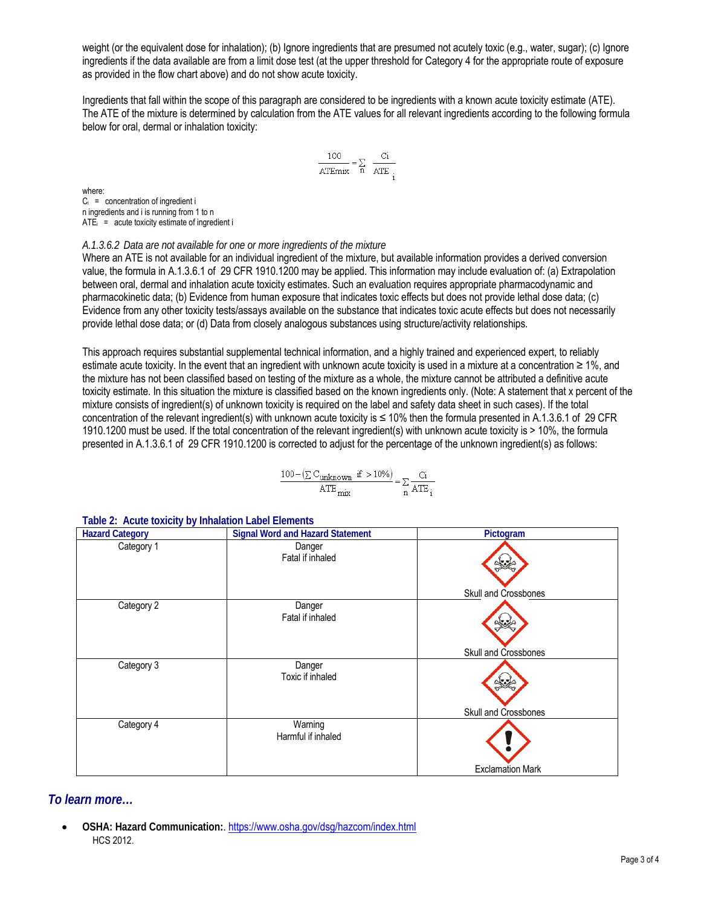weight (or the equivalent dose for inhalation); (b) Ignore ingredients that are presumed not acutely toxic (e.g., water, sugar); (c) Ignore ingredients if the data available are from a limit dose test (at the upper threshold for Category 4 for the appropriate route of exposure as provided in the flow chart above) and do not show acute toxicity.

Ingredients that fall within the scope of this paragraph are considered to be ingredients with a known acute toxicity estimate (ATE). The ATE of the mixture is determined by calculation from the ATE values for all relevant ingredients according to the following formula below for oral, dermal or inhalation toxicity:

$$
\frac{100}{\text{ATEmix}} = \sum_{n} \frac{Ci}{\text{ATE}}
$$

where:  $C_i$  = concentration of ingredient i n ingredients and i is running from 1 to n  $ATE_i$  = acute toxicity estimate of ingredient i

### *A.1.3.6.2 Data are not available for one or more ingredients of the mixture*

Where an ATE is not available for an individual ingredient of the mixture, but available information provides a derived conversion value, the formula in A.1.3.6.1 of 29 CFR 1910.1200 may be applied. This information may include evaluation of: (a) Extrapolation between oral, dermal and inhalation acute toxicity estimates. Such an evaluation requires appropriate pharmacodynamic and pharmacokinetic data; (b) Evidence from human exposure that indicates toxic effects but does not provide lethal dose data; (c) Evidence from any other toxicity tests/assays available on the substance that indicates toxic acute effects but does not necessarily provide lethal dose data; or (d) Data from closely analogous substances using structure/activity relationships.

This approach requires substantial supplemental technical information, and a highly trained and experienced expert, to reliably estimate acute toxicity. In the event that an ingredient with unknown acute toxicity is used in a mixture at a concentration ≥ 1%, and the mixture has not been classified based on testing of the mixture as a whole, the mixture cannot be attributed a definitive acute toxicity estimate. In this situation the mixture is classified based on the known ingredients only. (Note: A statement that x percent of the mixture consists of ingredient(s) of unknown toxicity is required on the label and safety data sheet in such cases). If the total concentration of the relevant ingredient(s) with unknown acute toxicity is ≤ 10% then the formula presented in A.1.3.6.1 of 29 CFR 1910.1200 must be used. If the total concentration of the relevant ingredient(s) with unknown acute toxicity is > 10%, the formula presented in A.1.3.6.1 of 29 CFR 1910.1200 is corrected to adjust for the percentage of the unknown ingredient(s) as follows:

$$
\frac{100 - \left(\sum C_{unknown} \text{ if } > 10\%\right)}{\text{ATE}_{mix}} = \sum_{n} \frac{Ci}{ATE_{i}}
$$

| <b>Hazard Category</b> | <b>Signal Word and Hazard Statement</b> | Pictogram                      |
|------------------------|-----------------------------------------|--------------------------------|
| Category 1             | Danger<br>Fatal if inhaled              | <b>Skull and Crossbones</b>    |
| Category 2             | Danger<br>Fatal if inhaled              | $\sim$<br>Skull and Crossbones |
| Category 3             | Danger<br>Toxic if inhaled              | Skull and Crossbones           |
| Category 4             | Warning<br>Harmful if inhaled           | <b>Exclamation Mark</b>        |

# *To learn more…*

 **OSHA: Hazard Communication:**. https://www.osha.gov/dsg/hazcom/index.html HCS 2012.